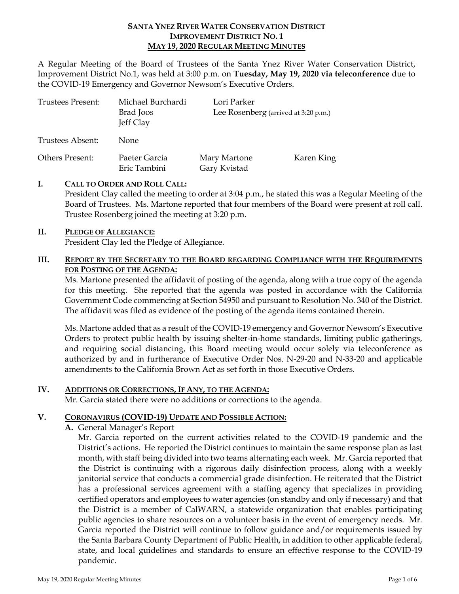#### **SANTA YNEZ RIVER WATER CONSERVATION DISTRICT IMPROVEMENT DISTRICT NO. 1 MAY 19, 2020 REGULAR MEETING MINUTES**

A Regular Meeting of the Board of Trustees of the Santa Ynez River Water Conservation District, Improvement District No.1, was held at 3:00 p.m. on **Tuesday, May 19, 2020 via teleconference** due to the COVID-19 Emergency and Governor Newsom's Executive Orders.

| Trustees Present:      | Michael Burchardi<br>Brad Joos<br>Jeff Clay | Lori Parker<br>Lee Rosenberg (arrived at 3:20 p.m.) |            |
|------------------------|---------------------------------------------|-----------------------------------------------------|------------|
| Trustees Absent:       | None                                        |                                                     |            |
| <b>Others Present:</b> | Paeter Garcia<br>Eric Tambini               | Mary Martone<br>Gary Kvistad                        | Karen King |

### **I. CALL TO ORDER AND ROLL CALL:**

President Clay called the meeting to order at 3:04 p.m., he stated this was a Regular Meeting of the Board of Trustees. Ms. Martone reported that four members of the Board were present at roll call. Trustee Rosenberg joined the meeting at 3:20 p.m.

#### **II. PLEDGE OF ALLEGIANCE:**

President Clay led the Pledge of Allegiance.

### **III. REPORT BY THE SECRETARY TO THE BOARD REGARDING COMPLIANCE WITH THE REQUIREMENTS FOR POSTING OF THE AGENDA:**

Ms. Martone presented the affidavit of posting of the agenda, along with a true copy of the agenda for this meeting. She reported that the agenda was posted in accordance with the California Government Code commencing at Section 54950 and pursuant to Resolution No. 340 of the District. The affidavit was filed as evidence of the posting of the agenda items contained therein.

Ms. Martone added that as a result of the COVID-19 emergency and Governor Newsom's Executive Orders to protect public health by issuing shelter-in-home standards, limiting public gatherings, and requiring social distancing, this Board meeting would occur solely via teleconference as authorized by and in furtherance of Executive Order Nos. N-29-20 and N-33-20 and applicable amendments to the California Brown Act as set forth in those Executive Orders.

#### **IV. ADDITIONS OR CORRECTIONS, IF ANY, TO THE AGENDA:**

Mr. Garcia stated there were no additions or corrections to the agenda.

### **V. CORONAVIRUS (COVID-19) UPDATE AND POSSIBLE ACTION:**

**A.** General Manager's Report

Mr. Garcia reported on the current activities related to the COVID-19 pandemic and the District's actions. He reported the District continues to maintain the same response plan as last month, with staff being divided into two teams alternating each week. Mr. Garcia reported that the District is continuing with a rigorous daily disinfection process, along with a weekly janitorial service that conducts a commercial grade disinfection. He reiterated that the District has a professional services agreement with a staffing agency that specializes in providing certified operators and employees to water agencies (on standby and only if necessary) and that the District is a member of CalWARN, a statewide organization that enables participating public agencies to share resources on a volunteer basis in the event of emergency needs. Mr. Garcia reported the District will continue to follow guidance and/or requirements issued by the Santa Barbara County Department of Public Health, in addition to other applicable federal, state, and local guidelines and standards to ensure an effective response to the COVID-19 pandemic.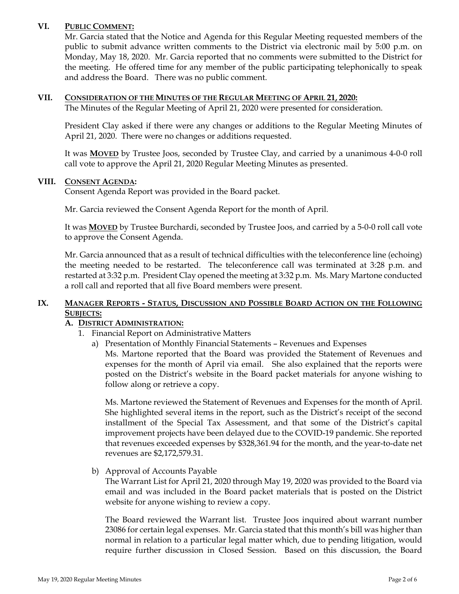### **VI. PUBLIC COMMENT:**

Mr. Garcia stated that the Notice and Agenda for this Regular Meeting requested members of the public to submit advance written comments to the District via electronic mail by 5:00 p.m. on Monday, May 18, 2020. Mr. Garcia reported that no comments were submitted to the District for the meeting. He offered time for any member of the public participating telephonically to speak and address the Board. There was no public comment.

#### **VII. CONSIDERATION OF THE MINUTES OF THE REGULAR MEETING OF APRIL 21, 2020:**

The Minutes of the Regular Meeting of April 21, 2020 were presented for consideration.

President Clay asked if there were any changes or additions to the Regular Meeting Minutes of April 21, 2020. There were no changes or additions requested.

It was **MOVED** by Trustee Joos, seconded by Trustee Clay, and carried by a unanimous 4-0-0 roll call vote to approve the April 21, 2020 Regular Meeting Minutes as presented.

#### **VIII. CONSENT AGENDA:**

Consent Agenda Report was provided in the Board packet.

Mr. Garcia reviewed the Consent Agenda Report for the month of April.

It was **MOVED** by Trustee Burchardi, seconded by Trustee Joos, and carried by a 5-0-0 roll call vote to approve the Consent Agenda.

Mr. Garcia announced that as a result of technical difficulties with the teleconference line (echoing) the meeting needed to be restarted. The teleconference call was terminated at 3:28 p.m. and restarted at 3:32 p.m. President Clay opened the meeting at 3:32 p.m. Ms. Mary Martone conducted a roll call and reported that all five Board members were present.

## **IX. MANAGER REPORTS - STATUS, DISCUSSION AND POSSIBLE BOARD ACTION ON THE FOLLOWING SUBJECTS:**

### **A. DISTRICT ADMINISTRATION:**

- 1. Financial Report on Administrative Matters
	- a) Presentation of Monthly Financial Statements Revenues and Expenses Ms. Martone reported that the Board was provided the Statement of Revenues and

expenses for the month of April via email. She also explained that the reports were posted on the District's website in the Board packet materials for anyone wishing to follow along or retrieve a copy.

Ms. Martone reviewed the Statement of Revenues and Expenses for the month of April. She highlighted several items in the report, such as the District's receipt of the second installment of the Special Tax Assessment, and that some of the District's capital improvement projects have been delayed due to the COVID-19 pandemic. She reported that revenues exceeded expenses by \$328,361.94 for the month, and the year-to-date net revenues are \$2,172,579.31.

b) Approval of Accounts Payable

The Warrant List for April 21, 2020 through May 19, 2020 was provided to the Board via email and was included in the Board packet materials that is posted on the District website for anyone wishing to review a copy.

The Board reviewed the Warrant list. Trustee Joos inquired about warrant number 23086 for certain legal expenses. Mr. Garcia stated that this month's bill was higher than normal in relation to a particular legal matter which, due to pending litigation, would require further discussion in Closed Session. Based on this discussion, the Board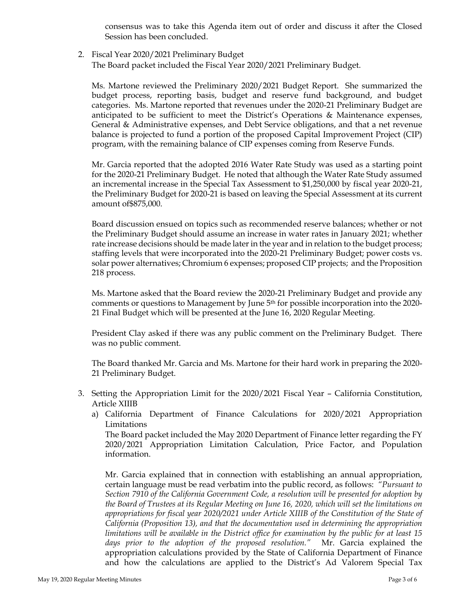consensus was to take this Agenda item out of order and discuss it after the Closed Session has been concluded.

2. Fiscal Year 2020/2021 Preliminary Budget

The Board packet included the Fiscal Year 2020/2021 Preliminary Budget.

Ms. Martone reviewed the Preliminary 2020/2021 Budget Report. She summarized the budget process, reporting basis, budget and reserve fund background, and budget categories. Ms. Martone reported that revenues under the 2020-21 Preliminary Budget are anticipated to be sufficient to meet the District's Operations & Maintenance expenses, General & Administrative expenses, and Debt Service obligations, and that a net revenue balance is projected to fund a portion of the proposed Capital Improvement Project (CIP) program, with the remaining balance of CIP expenses coming from Reserve Funds.

Mr. Garcia reported that the adopted 2016 Water Rate Study was used as a starting point for the 2020-21 Preliminary Budget. He noted that although the Water Rate Study assumed an incremental increase in the Special Tax Assessment to \$1,250,000 by fiscal year 2020-21, the Preliminary Budget for 2020-21 is based on leaving the Special Assessment at its current amount of\$875,000.

Board discussion ensued on topics such as recommended reserve balances; whether or not the Preliminary Budget should assume an increase in water rates in January 2021; whether rate increase decisions should be made later in the year and in relation to the budget process; staffing levels that were incorporated into the 2020-21 Preliminary Budget; power costs vs. solar power alternatives; Chromium 6 expenses; proposed CIP projects; and the Proposition 218 process.

Ms. Martone asked that the Board review the 2020-21 Preliminary Budget and provide any comments or questions to Management by June 5th for possible incorporation into the 2020- 21 Final Budget which will be presented at the June 16, 2020 Regular Meeting.

President Clay asked if there was any public comment on the Preliminary Budget. There was no public comment.

The Board thanked Mr. Garcia and Ms. Martone for their hard work in preparing the 2020- 21 Preliminary Budget.

- 3. Setting the Appropriation Limit for the 2020/2021 Fiscal Year California Constitution, Article XIIIB
	- a) California Department of Finance Calculations for 2020/2021 Appropriation Limitations

The Board packet included the May 2020 Department of Finance letter regarding the FY 2020/2021 Appropriation Limitation Calculation, Price Factor, and Population information.

Mr. Garcia explained that in connection with establishing an annual appropriation, certain language must be read verbatim into the public record, as follows: *"Pursuant to Section 7910 of the California Government Code, a resolution will be presented for adoption by the Board of Trustees at its Regular Meeting on June 16, 2020, which will set the limitations on appropriations for fiscal year 2020/2021 under Article XIIIB of the Constitution of the State of California (Proposition 13), and that the documentation used in determining the appropriation limitations will be available in the District office for examination by the public for at least 15 days prior to the adoption of the proposed resolution."* Mr. Garcia explained the appropriation calculations provided by the State of California Department of Finance and how the calculations are applied to the District's Ad Valorem Special Tax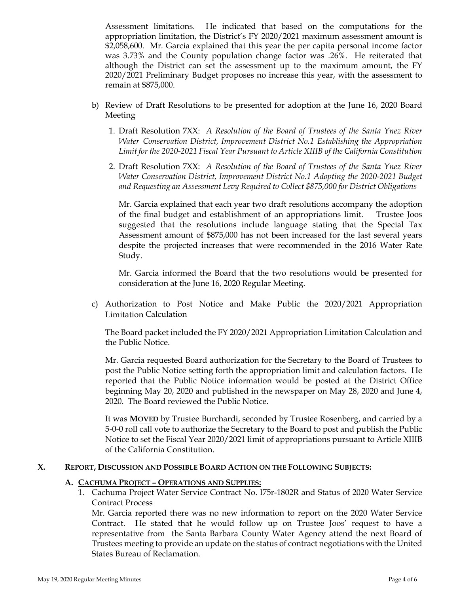Assessment limitations. He indicated that based on the computations for the appropriation limitation, the District's FY 2020/2021 maximum assessment amount is \$2,058,600. Mr. Garcia explained that this year the per capita personal income factor was 3.73% and the County population change factor was .26%. He reiterated that although the District can set the assessment up to the maximum amount, the FY 2020/2021 Preliminary Budget proposes no increase this year, with the assessment to remain at \$875,000.

- b) Review of Draft Resolutions to be presented for adoption at the June 16, 2020 Board Meeting
	- 1. Draft Resolution 7XX: *A Resolution of the Board of Trustees of the Santa Ynez River Water Conservation District, Improvement District No.1 Establishing the Appropriation Limit for the 2020-2021 Fiscal Year Pursuant to Article XIIIB of the California Constitution*
	- 2. Draft Resolution 7XX: *A Resolution of the Board of Trustees of the Santa Ynez River Water Conservation District, Improvement District No.1 Adopting the 2020-2021 Budget and Requesting an Assessment Levy Required to Collect \$875,000 for District Obligations*

Mr. Garcia explained that each year two draft resolutions accompany the adoption of the final budget and establishment of an appropriations limit. Trustee Joos suggested that the resolutions include language stating that the Special Tax Assessment amount of \$875,000 has not been increased for the last several years despite the projected increases that were recommended in the 2016 Water Rate Study.

Mr. Garcia informed the Board that the two resolutions would be presented for consideration at the June 16, 2020 Regular Meeting.

c) Authorization to Post Notice and Make Public the 2020/2021 Appropriation Limitation Calculation

The Board packet included the FY 2020/2021 Appropriation Limitation Calculation and the Public Notice.

Mr. Garcia requested Board authorization for the Secretary to the Board of Trustees to post the Public Notice setting forth the appropriation limit and calculation factors. He reported that the Public Notice information would be posted at the District Office beginning May 20, 2020 and published in the newspaper on May 28, 2020 and June 4, 2020. The Board reviewed the Public Notice.

It was **MOVED** by Trustee Burchardi, seconded by Trustee Rosenberg, and carried by a 5-0-0 roll call vote to authorize the Secretary to the Board to post and publish the Public Notice to set the Fiscal Year 2020/2021 limit of appropriations pursuant to Article XIIIB of the California Constitution.

#### **X. REPORT, DISCUSSION AND POSSIBLE BOARD ACTION ON THE FOLLOWING SUBJECTS:**

#### **A. CACHUMA PROJECT – OPERATIONS AND SUPPLIES:**

1. Cachuma Project Water Service Contract No. I75r-1802R and Status of 2020 Water Service Contract Process

Mr. Garcia reported there was no new information to report on the 2020 Water Service Contract. He stated that he would follow up on Trustee Joos' request to have a representative from the Santa Barbara County Water Agency attend the next Board of Trustees meeting to provide an update on the status of contract negotiations with the United States Bureau of Reclamation.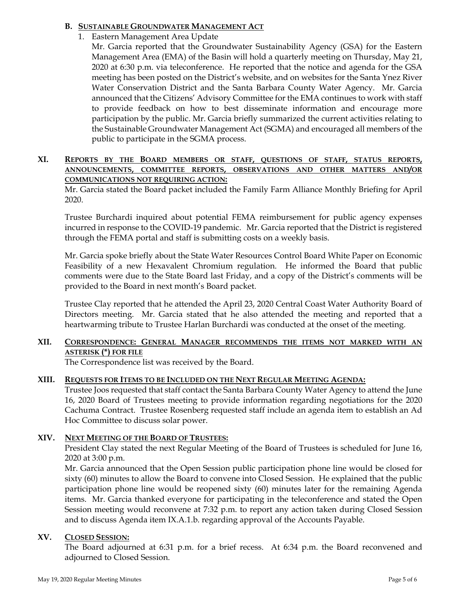### **B. SUSTAINABLE GROUNDWATER MANAGEMENT ACT**

- 1. Eastern Management Area Update
	- Mr. Garcia reported that the Groundwater Sustainability Agency (GSA) for the Eastern Management Area (EMA) of the Basin will hold a quarterly meeting on Thursday, May 21, 2020 at 6:30 p.m. via teleconference. He reported that the notice and agenda for the GSA meeting has been posted on the District's website, and on websites for the Santa Ynez River Water Conservation District and the Santa Barbara County Water Agency. Mr. Garcia announced that the Citizens' Advisory Committee for the EMA continues to work with staff to provide feedback on how to best disseminate information and encourage more participation by the public. Mr. Garcia briefly summarized the current activities relating to the Sustainable Groundwater Management Act (SGMA) and encouraged all members of the public to participate in the SGMA process.

### **XI. REPORTS BY THE BOARD MEMBERS OR STAFF, QUESTIONS OF STAFF, STATUS REPORTS, ANNOUNCEMENTS, COMMITTEE REPORTS, OBSERVATIONS AND OTHER MATTERS AND/OR COMMUNICATIONS NOT REQUIRING ACTION:**

Mr. Garcia stated the Board packet included the Family Farm Alliance Monthly Briefing for April 2020.

Trustee Burchardi inquired about potential FEMA reimbursement for public agency expenses incurred in response to the COVID-19 pandemic. Mr. Garcia reported that the District is registered through the FEMA portal and staff is submitting costs on a weekly basis.

Mr. Garcia spoke briefly about the State Water Resources Control Board White Paper on Economic Feasibility of a new Hexavalent Chromium regulation. He informed the Board that public comments were due to the State Board last Friday, and a copy of the District's comments will be provided to the Board in next month's Board packet.

Trustee Clay reported that he attended the April 23, 2020 Central Coast Water Authority Board of Directors meeting. Mr. Garcia stated that he also attended the meeting and reported that a heartwarming tribute to Trustee Harlan Burchardi was conducted at the onset of the meeting.

# **XII. CORRESPONDENCE: GENERAL MANAGER RECOMMENDS THE ITEMS NOT MARKED WITH AN ASTERISK (\*) FOR FILE**

The Correspondence list was received by the Board.

# **XIII. REQUESTS FOR ITEMS TO BE INCLUDED ON THE NEXT REGULAR MEETING AGENDA:**

Trustee Joos requested that staff contact the Santa Barbara County Water Agency to attend the June 16, 2020 Board of Trustees meeting to provide information regarding negotiations for the 2020 Cachuma Contract. Trustee Rosenberg requested staff include an agenda item to establish an Ad Hoc Committee to discuss solar power.

# **XIV. NEXT MEETING OF THE BOARD OF TRUSTEES:**

President Clay stated the next Regular Meeting of the Board of Trustees is scheduled for June 16, 2020 at 3:00 p.m.

Mr. Garcia announced that the Open Session public participation phone line would be closed for sixty (60) minutes to allow the Board to convene into Closed Session. He explained that the public participation phone line would be reopened sixty (60) minutes later for the remaining Agenda items. Mr. Garcia thanked everyone for participating in the teleconference and stated the Open Session meeting would reconvene at 7:32 p.m. to report any action taken during Closed Session and to discuss Agenda item IX.A.1.b. regarding approval of the Accounts Payable.

### **XV. CLOSED SESSION:**

The Board adjourned at 6:31 p.m. for a brief recess. At 6:34 p.m. the Board reconvened and adjourned to Closed Session.